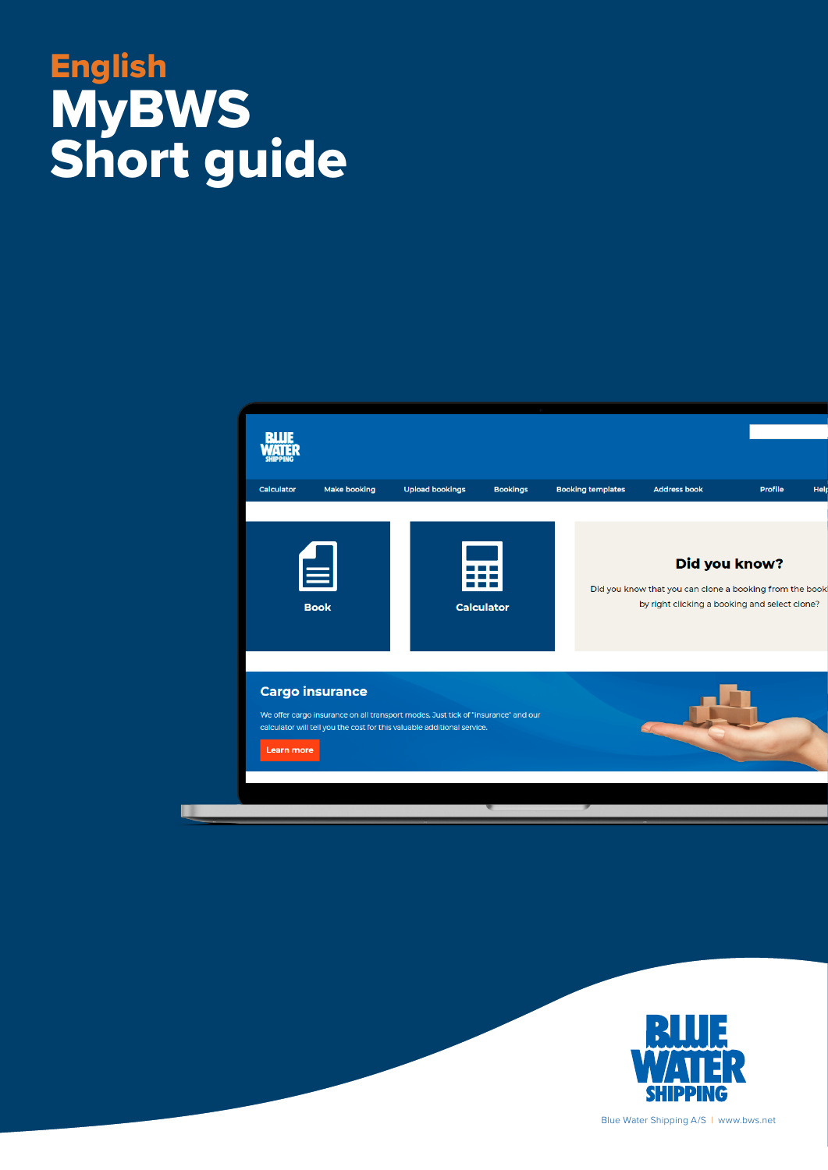#### English **book**  ${\bf MvBWS}$  and  ${\bf Cv}$ English **MyBWS** Short guide





Blue Water Shipping A/S | www.bws.net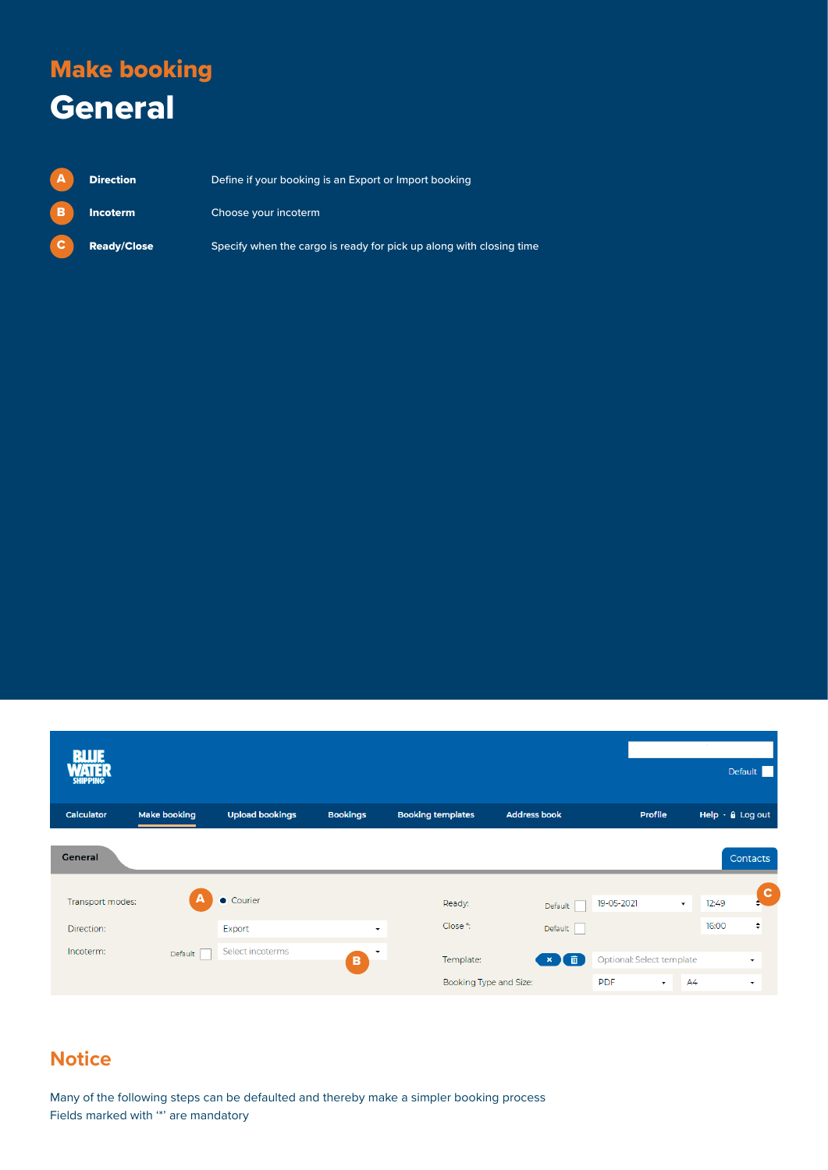#### Make booking **General**

| $\mathbf{A}$   | <b>Direction</b>   | Define if your booking is an Export or Import booking               |
|----------------|--------------------|---------------------------------------------------------------------|
| $\blacksquare$ | <b>Incoterm</b>    | Choose your incoterm                                                |
| $\mathbf{c}$   | <b>Ready/Close</b> | Specify when the cargo is ready for pick up along with closing time |

| <b>RILIE</b><br>ATER<br><b>SHIPPING</b> |                     |                        |                      |                          |                                        |                           | $\sim$           | Default                       |
|-----------------------------------------|---------------------|------------------------|----------------------|--------------------------|----------------------------------------|---------------------------|------------------|-------------------------------|
| <b>Calculator</b>                       | <b>Make booking</b> | <b>Upload bookings</b> | <b>Bookings</b>      | <b>Booking templates</b> | <b>Address book</b>                    | <b>Profile</b>            |                  | Help $\cdot$ $\theta$ Log out |
| <b>General</b>                          |                     |                        |                      |                          |                                        |                           |                  | <b>Contacts</b>               |
| Transport modes:                        | $\mathbf{A}$        | Courier                |                      | Ready:                   | Default                                | 19-05-2021                | 12:49<br>$\cdot$ | $\overline{\mathbf{c}}$       |
| Direction:                              |                     | Export                 | $\blacktriangledown$ | Close *:                 | Default                                |                           | 16:00            | ÷                             |
| Incoterm:                               | Default             | Select incoterms       | $\check{}$<br>в      | Template:                | $\mathbf{x}$ $\mathbf{f}$ $\mathbf{m}$ | Optional: Select template |                  | $\overline{\phantom{a}}$      |
|                                         |                     |                        |                      | Booking Type and Size:   |                                        | <b>PDF</b><br>$\cdot$     | AA               | $\overline{\phantom{a}}$      |

#### **Notice**

Many of the following steps can be defaulted and thereby make a simpler booking process Fields marked with '\*' are mandatory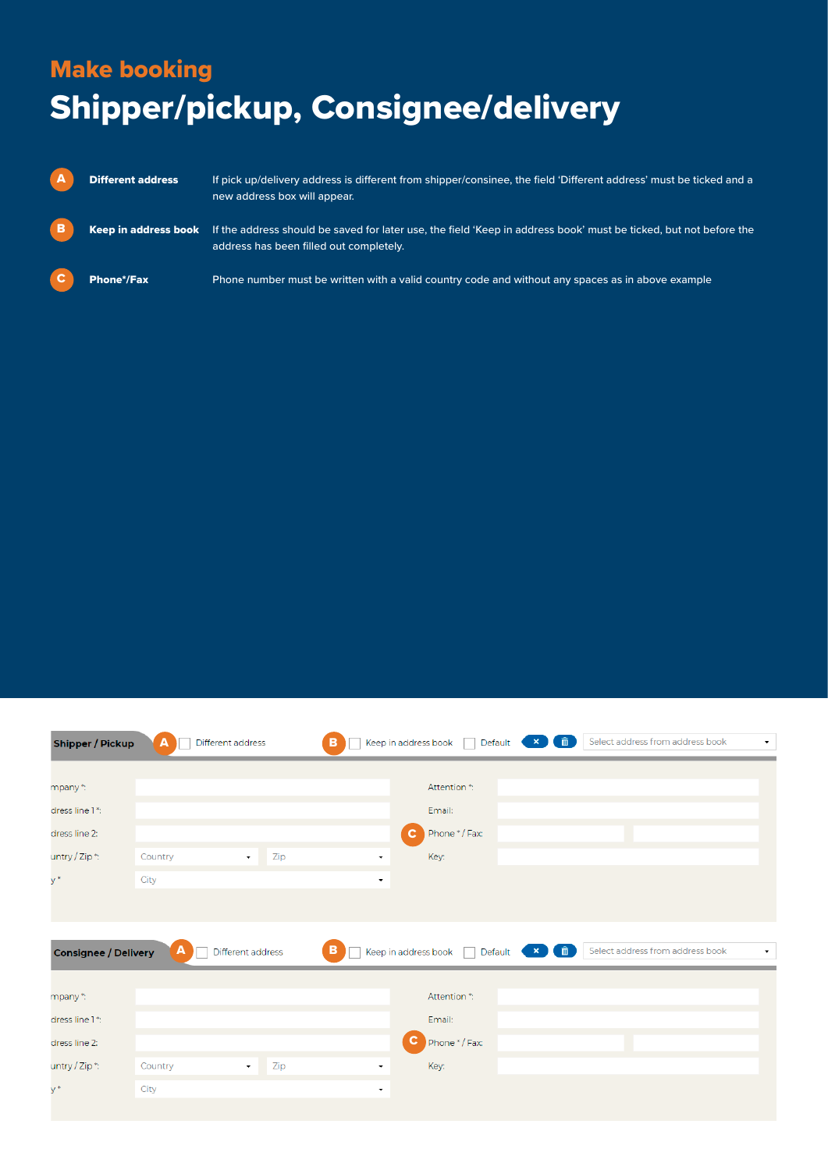## Make booking Shipper/pickup, Consignee/delivery

| A        | <b>Different address</b> | If pick up/delivery address is different from shipper/consinee, the field 'Different address' must be ticked and a<br>new address box will appear.           |
|----------|--------------------------|--------------------------------------------------------------------------------------------------------------------------------------------------------------|
| B        | Keep in address book     | If the address should be saved for later use, the field 'Keep in address book' must be ticked, but not before the<br>address has been filled out completely. |
| <b>C</b> | Phone*/Fax               | Phone number must be written with a valid country code and without any spaces as in above example                                                            |

| <b>Shipper / Pickup</b>     | Different address<br>A | B<br>Keep in address book                 | $\bullet$ $\times$ $\bullet$ $\bullet$<br>Select address from address book<br>Default ( | $\blacktriangledown$     |
|-----------------------------|------------------------|-------------------------------------------|-----------------------------------------------------------------------------------------|--------------------------|
|                             |                        |                                           |                                                                                         |                          |
| mpany *:                    |                        | Attention *:                              |                                                                                         |                          |
| dress line 1*:              |                        | Email:                                    |                                                                                         |                          |
| dress line 2:               |                        | Phone */Fax:<br>$\mathbf{C}$              |                                                                                         |                          |
| untry / Zip *:              | Country<br>$\star$     | Zip<br>Key:<br>$\overline{\phantom{a}}$   |                                                                                         |                          |
| $y^*$                       | City                   | ۰                                         |                                                                                         |                          |
|                             |                        |                                           |                                                                                         |                          |
|                             |                        |                                           |                                                                                         |                          |
|                             |                        |                                           |                                                                                         |                          |
|                             | A<br>Different address | в<br>Keep in address book<br>$\mathbb{R}$ | $\bullet$ $\bullet$ $\bullet$<br>Select address from address book<br>Default            | $\overline{\phantom{a}}$ |
| <b>Consignee / Delivery</b> |                        |                                           |                                                                                         |                          |
| mpany *:                    |                        | Attention *:                              |                                                                                         |                          |
| dress line 1*:              |                        | Email:                                    |                                                                                         |                          |
| dress line 2:               |                        | C<br>Phone */Fax:                         |                                                                                         |                          |
| untry / Zip *:              | Country<br>$\bullet$   | Zip<br>Key:<br>۰                          |                                                                                         |                          |
| y*                          | City                   | $\overline{\phantom{a}}$                  |                                                                                         |                          |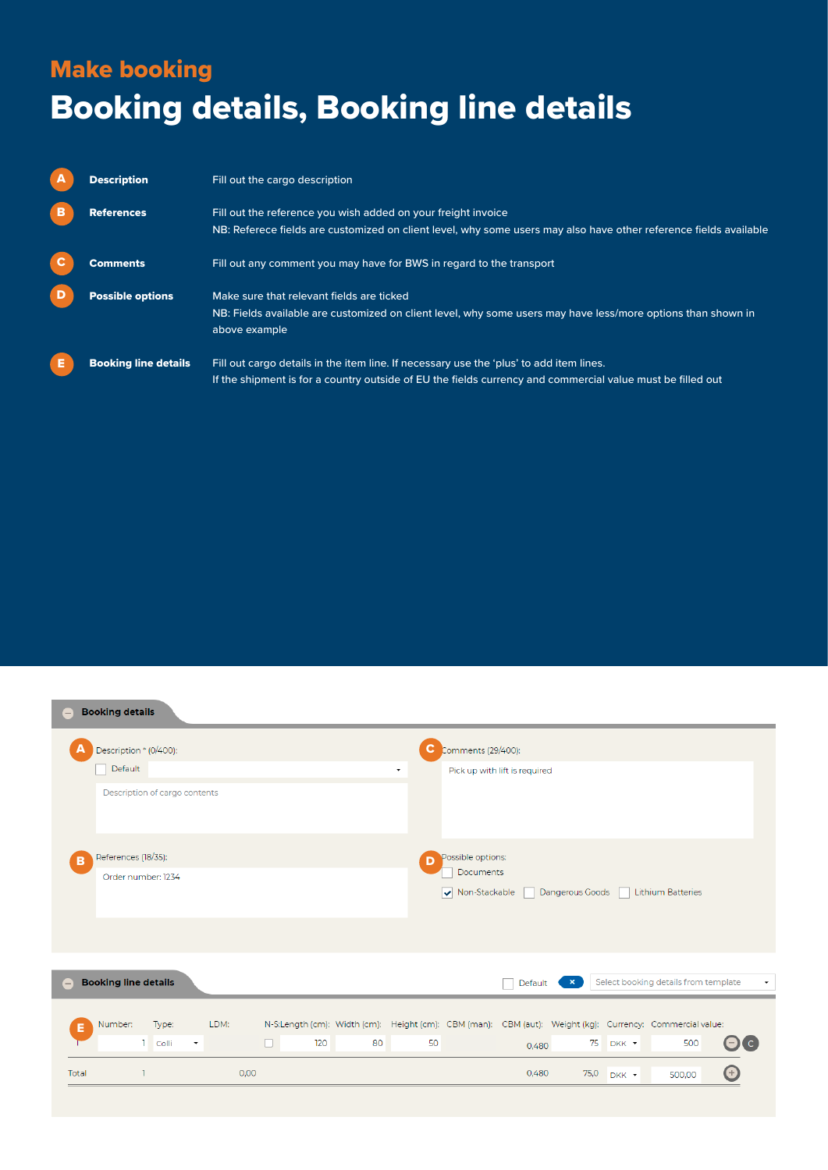### Make booking Booking details, Booking line details

|   | <b>Description</b>          | Fill out the cargo description                                                                                                                                                                        |
|---|-----------------------------|-------------------------------------------------------------------------------------------------------------------------------------------------------------------------------------------------------|
| в | <b>References</b>           | Fill out the reference you wish added on your freight invoice<br>NB: Referece fields are customized on client level, why some users may also have other reference fields available                    |
|   | Comments                    | Fill out any comment you may have for BWS in regard to the transport                                                                                                                                  |
|   | <b>Possible options</b>     | Make sure that relevant fields are ticked<br>NB: Fields available are customized on client level, why some users may have less/more options than shown in<br>above example                            |
| Е | <b>Booking line details</b> | Fill out cargo details in the item line. If necessary use the 'plus' to add item lines.<br>If the shipment is for a country outside of EU the fields currency and commercial value must be filled out |

| <b>Booking details</b><br>$\equiv$ |                                               |      |                                                                                                          |    |              |                            |                               |                 |       |                                      |                          |
|------------------------------------|-----------------------------------------------|------|----------------------------------------------------------------------------------------------------------|----|--------------|----------------------------|-------------------------------|-----------------|-------|--------------------------------------|--------------------------|
| A                                  | Description * (0/400):                        |      |                                                                                                          |    | C.           | Comments (29/400):         |                               |                 |       |                                      |                          |
| Default                            |                                               |      |                                                                                                          |    | $\checkmark$ |                            | Pick up with lift is required |                 |       |                                      |                          |
|                                    | Description of cargo contents                 |      |                                                                                                          |    |              |                            |                               |                 |       |                                      |                          |
| References (18/35):<br>B           |                                               |      |                                                                                                          |    | D            | Possible options:          |                               |                 |       |                                      |                          |
|                                    | Order number: 1234                            |      |                                                                                                          |    |              | Documents<br>Non-Stackable |                               | Dangerous Goods |       | <b>Lithium Batteries</b>             |                          |
| <b>Booking line details</b><br>۳   |                                               |      |                                                                                                          |    |              |                            | Default                       | $\mathbf{x}$    |       | Select booking details from template | $\overline{\phantom{a}}$ |
| Number:<br>Е                       | Type:                                         | LDM: | N-S:Length (cm): Width (cm): Height (cm): CBM (man): CBM (aut): Weight (kg): Currency: Commercial value: |    |              |                            |                               |                 |       |                                      |                          |
|                                    | $\mathbf{1}$<br>Colli<br>$\blacktriangledown$ |      | $\Box$<br>120                                                                                            | 80 | 50           |                            | 0.480                         | 75              | DKK + | 500                                  | OI C                     |
| Total                              | $\mathbf{1}$                                  | 0,00 |                                                                                                          |    |              |                            | 0,480                         | 75,0            | DKK - | 500,00                               | $\boldsymbol{\Theta}$    |
|                                    |                                               |      |                                                                                                          |    |              |                            |                               |                 |       |                                      |                          |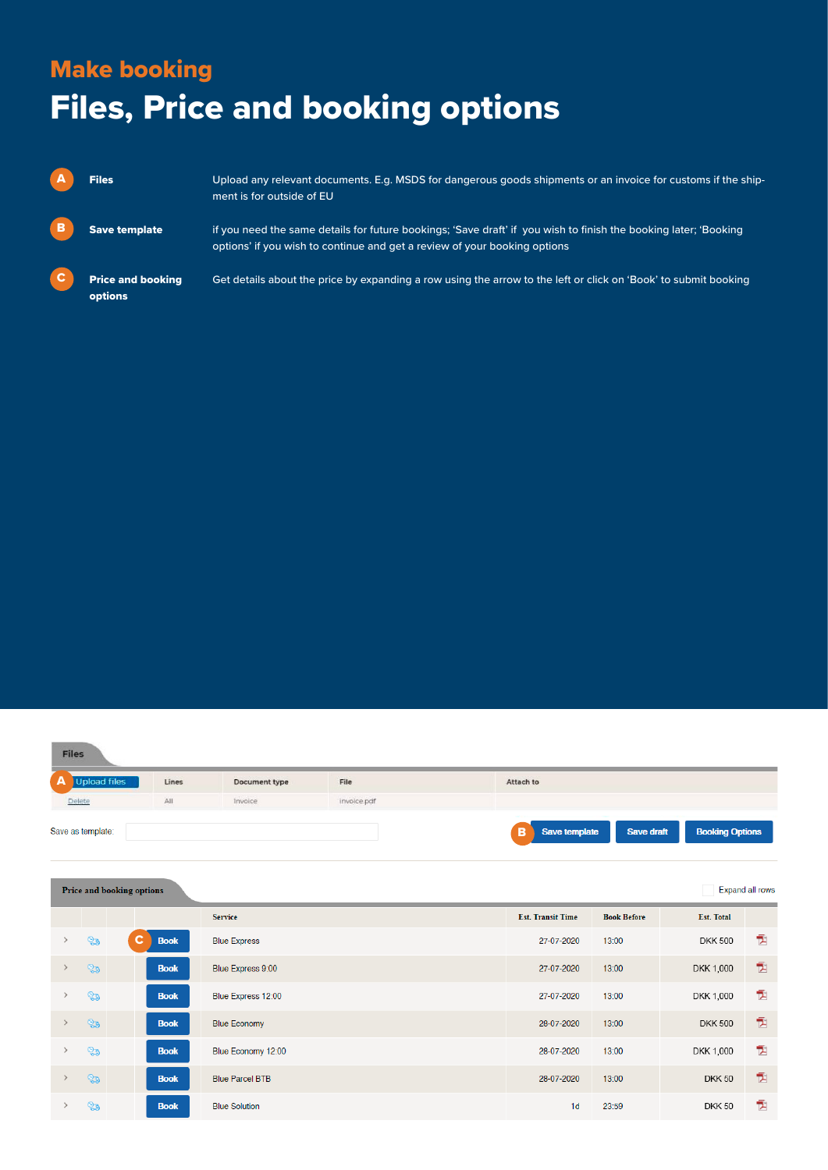### Make booking Files, Price and booking options

|             | <b>Files</b>                        | Upload any relevant documents. E.g. MSDS for dangerous goods shipments or an invoice for customs if the ship-<br>ment is for outside of EU                                                    |
|-------------|-------------------------------------|-----------------------------------------------------------------------------------------------------------------------------------------------------------------------------------------------|
| B           | <b>Save template</b>                | if you need the same details for future bookings; 'Save draft' if you wish to finish the booking later; 'Booking<br>options' if you wish to continue and get a review of your booking options |
| $\mathbf c$ | <b>Price and booking</b><br>options | Get details about the price by expanding a row using the arrow to the left or click on 'Book' to submit booking                                                                               |

| <b>Upload files</b> | Lines | Document type | File        | Attach to |
|---------------------|-------|---------------|-------------|-----------|
| Delete              | All   | Invoice       | invoice.pdf |           |

|               |     | Price and booking options |                        |                          |                    |                   | <b>Expand all rows</b> |
|---------------|-----|---------------------------|------------------------|--------------------------|--------------------|-------------------|------------------------|
|               |     |                           | <b>Service</b>         | <b>Est. Transit Time</b> | <b>Book Before</b> | <b>Est. Total</b> |                        |
| $\rightarrow$ | ್ಧಾ | C.<br><b>Book</b>         | <b>Blue Express</b>    | 27-07-2020               | 13:00              | <b>DKK 500</b>    | Ť.                     |
| $\rightarrow$ | ್ಧಾ | <b>Book</b>               | Blue Express 9:00      | 27-07-2020               | 13:00              | DKK 1,000         | 包                      |
| $\rightarrow$ | ್ಥಾ | <b>Book</b>               | Blue Express 12:00     | 27-07-2020               | 13:00              | DKK 1,000         | Ī.                     |
| $\rightarrow$ | ್ಧಾ | <b>Book</b>               | <b>Blue Economy</b>    | 28-07-2020               | 13:00              | <b>DKK 500</b>    | 包                      |
| $\rightarrow$ | ್ಧಾ | <b>Book</b>               | Blue Economy 12:00     | 28-07-2020               | 13:00              | DKK 1,000         | 튡                      |
| $\rightarrow$ | ್ದಿ | <b>Book</b>               | <b>Blue Parcel BTB</b> | 28-07-2020               | 13:00              | <b>DKK 50</b>     | 包                      |
|               | ್ಧಾ | <b>Book</b>               | <b>Blue Solution</b>   | 1 <sub>d</sub>           | 23:59              | <b>DKK 50</b>     | Ī.                     |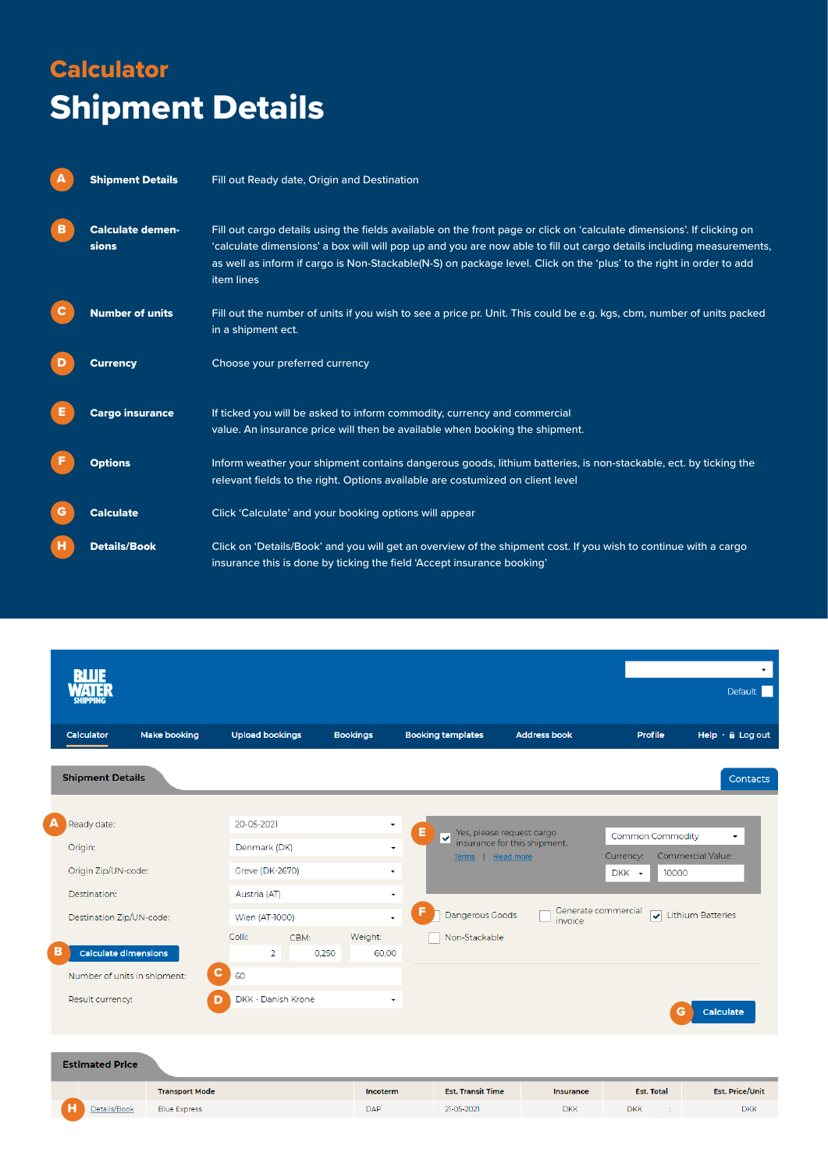### **Calculator** Shipment Details

| A | <b>Shipment Details</b>          | Fill out Ready date, Origin and Destination                                                                                                                                                                                                                                                                                                                                         |
|---|----------------------------------|-------------------------------------------------------------------------------------------------------------------------------------------------------------------------------------------------------------------------------------------------------------------------------------------------------------------------------------------------------------------------------------|
| в | <b>Calculate demen-</b><br>sions | Fill out cargo details using the fields available on the front page or click on 'calculate dimensions'. If clicking on<br>'calculate dimensions' a box will will pop up and you are now able to fill out cargo details including measurements,<br>as well as inform if cargo is Non-Stackable(N-S) on package level. Click on the 'plus' to the right in order to add<br>item lines |
| С | <b>Number of units</b>           | Fill out the number of units if you wish to see a price pr. Unit. This could be e.g. kgs, cbm, number of units packed<br>in a shipment ect.                                                                                                                                                                                                                                         |
| D | <b>Currency</b>                  | Choose your preferred currency                                                                                                                                                                                                                                                                                                                                                      |
|   | <b>Cargo insurance</b>           | If ticked you will be asked to inform commodity, currency and commercial<br>value. An insurance price will then be available when booking the shipment.                                                                                                                                                                                                                             |
|   | <b>Options</b>                   | Inform weather your shipment contains dangerous goods, lithium batteries, is non-stackable, ect. by ticking the<br>relevant fields to the right. Options available are costumized on client level                                                                                                                                                                                   |
| G | <b>Calculate</b>                 | Click 'Calculate' and your booking options will appear                                                                                                                                                                                                                                                                                                                              |
| н | <b>Details/Book</b>              | Click on 'Details/Book' and you will get an overview of the shipment cost. If you wish to continue with a cargo<br>insurance this is done by ticking the field 'Accept insurance booking'                                                                                                                                                                                           |

| <b>BLUE</b><br>Aute<br>SHIPPI                   |                                  |                           |                                              |                                                           |                                      | Default                                          |
|-------------------------------------------------|----------------------------------|---------------------------|----------------------------------------------|-----------------------------------------------------------|--------------------------------------|--------------------------------------------------|
| <b>Make booking</b><br>Calculator               | <b>Upload bookings</b>           | <b>Bookings</b>           | <b>Booking templates</b>                     | <b>Address book</b>                                       | Profile                              | Help $\cdot$ & Log out                           |
| <b>Shipment Details</b>                         |                                  |                           |                                              |                                                           |                                      | Contacts                                         |
| A<br>Ready date:                                | 20-05-2021                       | $\overline{\phantom{a}}$  | Е                                            |                                                           |                                      |                                                  |
| Origin:                                         | Denmark (DK)                     | $\blacktriangledown$      | $\overline{\textbf{v}}$<br>Terms   Read more | Yes, please request cargo<br>insurance for this shipment. | <b>Common Commodity</b><br>Currency: | $\blacktriangledown$<br><b>Commercial Value:</b> |
| Origin Zip/UN-code:                             | <b>Greve (DK-2670)</b>           | $\overline{\phantom{a}}$  |                                              |                                                           | DKK +<br>10000                       |                                                  |
| Destination:                                    | Austria (AT)                     | ۰                         |                                              |                                                           |                                      |                                                  |
| Destination Zip/UN-code:                        | Wien (AT-1000)                   | $\overline{\phantom{a}}$  | Dangerous Goods                              | invoice                                                   | Generate commercial<br>$\mathbf{v}$  | <b>Lithium Batteries</b>                         |
| <b>Calculate dimensions</b><br>в                | Colli:<br>CBM:<br>$\overline{2}$ | Weight:<br>0,250<br>60,00 | Non-Stackable                                |                                                           |                                      |                                                  |
| $\mathbf{C}$<br>Number of units in shipment:    | 60                               |                           |                                              |                                                           |                                      |                                                  |
| Result currency:<br>D                           | DKK - Danish Krone               | ٠                         |                                              |                                                           |                                      | Calculate<br>G                                   |
| <b>Estimated Price</b><br><b>Transport Mode</b> |                                  |                           | <b>Est. Transit Time</b>                     |                                                           | <b>Est. Total</b>                    | <b>Est. Price/Unit</b>                           |

 $DAP$ 

 $21-05-2021$ 

 $DKK$ 

 $DKK$ 

 $DKK$ 

Details/Book Blue Express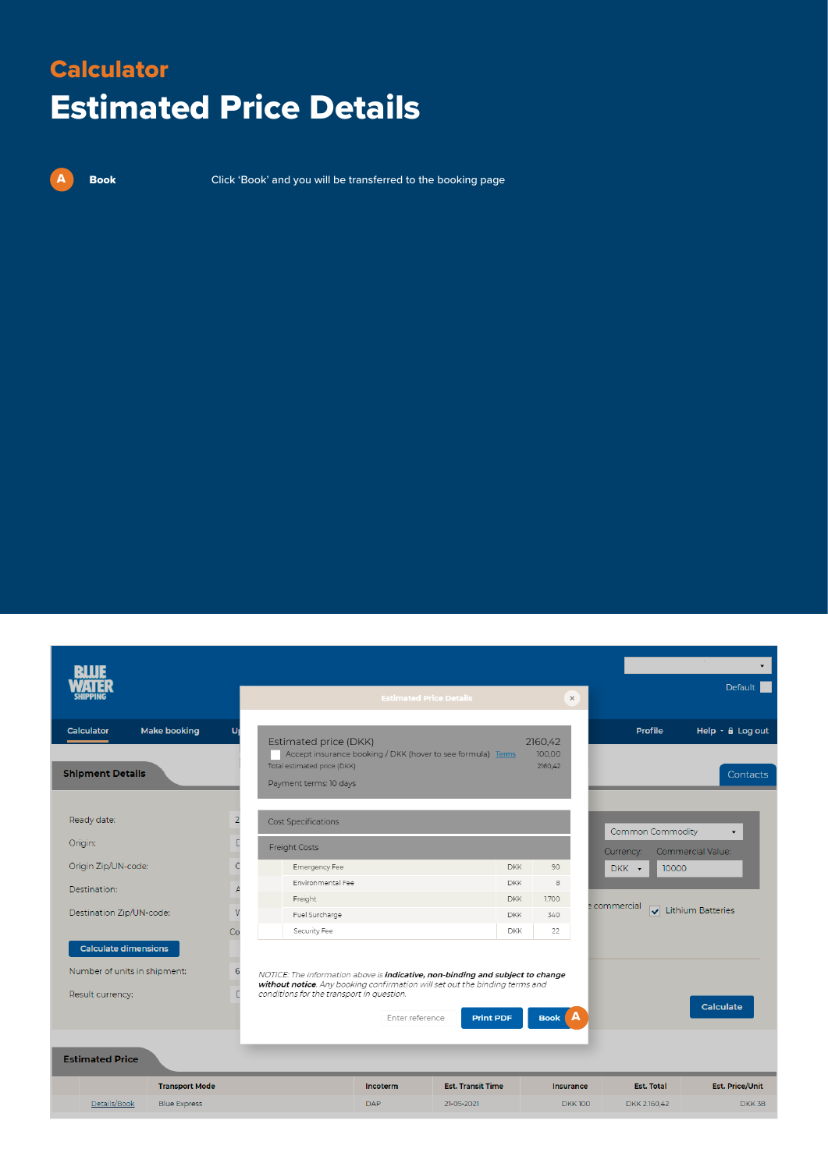### **Calculator** Estimated Price Details

A

**Book** Click 'Book' and you will be transferred to the booking page

|                                                                                                           |                                              |                                                                                                                                                                                                                   |                        | <b>Estimated Price Details</b>                                     | $\times$                      |                       | $\overline{\phantom{a}}$<br><b>Default</b>                                  |
|-----------------------------------------------------------------------------------------------------------|----------------------------------------------|-------------------------------------------------------------------------------------------------------------------------------------------------------------------------------------------------------------------|------------------------|--------------------------------------------------------------------|-------------------------------|-----------------------|-----------------------------------------------------------------------------|
| <b>Calculator</b><br><b>Shipment Details</b>                                                              | <b>Make booking</b>                          | Estimated price (DKK)<br>Total estimated price (DKK)<br>Payment terms: 10 days                                                                                                                                    |                        | Accept insurance booking / DKK (hover to see formula) Terms        | 2160,42<br>100.00<br>2160,42  |                       | <b>Profile</b><br>Help $\cdot$ $\theta$ Log out<br>Contacts                 |
| Ready date:<br>Origin:                                                                                    |                                              | Cost Specifications<br>Freight Costs                                                                                                                                                                              |                        |                                                                    |                               | Currency:             | <b>Common Commodity</b><br>$\blacktriangledown$<br><b>Commercial Value:</b> |
| Origin Zip/UN-code:<br>Destination:<br>Destination Zip/UN-code:                                           |                                              | Emergency Fee<br>Environmental Fee<br>Freight<br>Fuel Surcharge<br>Security Fee                                                                                                                                   |                        | <b>DKK</b><br><b>DKK</b><br><b>DKK</b><br><b>DKK</b><br><b>DKK</b> | 90<br>8<br>1.700<br>340<br>22 | DKK +<br>e commercial | 10000<br>Lithium Batteries                                                  |
| <b>Calculate dimensions</b><br>Number of units in shipment:<br>Result currency:<br><b>Estimated Price</b> | Co<br>6                                      | NOTICE: The information above is <b>indicative, non-binding and subject to change</b><br>without notice. Any booking confirmation will set out the binding terms and<br>conditions for the transport in question. | Enter reference        | <b>Print PDF</b>                                                   | Book A                        |                       | Calculate                                                                   |
| Details/Book                                                                                              | <b>Transport Mode</b><br><b>Blue Express</b> |                                                                                                                                                                                                                   | Incoterm<br><b>DAP</b> | <b>Est. Transit Time</b><br>21-05-2021                             | <b>Insurance</b>              | <b>DKK100</b>         | <b>Est. Price/Unit</b><br><b>Est. Total</b><br>DKK 2.160,42<br><b>DKK38</b> |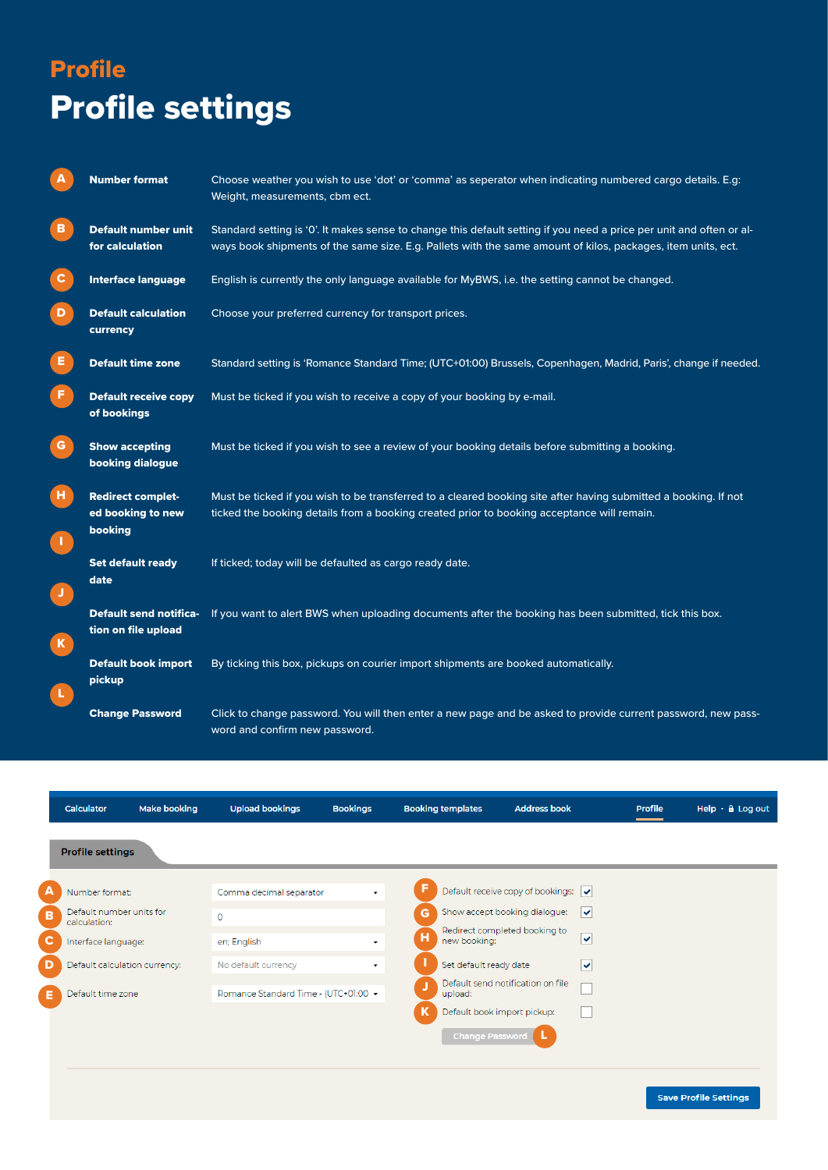# Profile Profile settings

| A            | <b>Number format</b>                                     | Choose weather you wish to use 'dot' or 'comma' as seperator when indicating numbered cargo details. E.g:<br>Weight, measurements, cbm ect.                                                                                          |  |  |  |  |
|--------------|----------------------------------------------------------|--------------------------------------------------------------------------------------------------------------------------------------------------------------------------------------------------------------------------------------|--|--|--|--|
| в            | <b>Default number unit</b><br>for calculation            | Standard setting is '0'. It makes sense to change this default setting if you need a price per unit and often or al-<br>ways book shipments of the same size. E.g. Pallets with the same amount of kilos, packages, item units, ect. |  |  |  |  |
| $\mathbf{C}$ | <b>Interface language</b>                                | English is currently the only language available for MyBWS, i.e. the setting cannot be changed.                                                                                                                                      |  |  |  |  |
| D            | <b>Default calculation</b><br>currency                   | Choose your preferred currency for transport prices.                                                                                                                                                                                 |  |  |  |  |
| Е.           | <b>Default time zone</b>                                 | Standard setting is 'Romance Standard Time; (UTC+01:00) Brussels, Copenhagen, Madrid, Paris', change if needed.                                                                                                                      |  |  |  |  |
| F.           | <b>Default receive copy</b><br>of bookings               | Must be ticked if you wish to receive a copy of your booking by e-mail.                                                                                                                                                              |  |  |  |  |
| G.           | <b>Show accepting</b><br>booking dialogue                | Must be ticked if you wish to see a review of your booking details before submitting a booking.                                                                                                                                      |  |  |  |  |
| н.<br>л.     | <b>Redirect complet-</b><br>ed booking to new<br>booking | Must be ticked if you wish to be transferred to a cleared booking site after having submitted a booking. If not<br>ticked the booking details from a booking created prior to booking acceptance will remain.                        |  |  |  |  |
| J.           | <b>Set default ready</b><br>date                         | If ticked; today will be defaulted as cargo ready date.                                                                                                                                                                              |  |  |  |  |
| $\mathbf{K}$ | <b>Default send notifica-</b><br>tion on file upload     | If you want to alert BWS when uploading documents after the booking has been submitted, tick this box.                                                                                                                               |  |  |  |  |
| L.           | <b>Default book import</b><br>pickup                     | By ticking this box, pickups on courier import shipments are booked automatically.                                                                                                                                                   |  |  |  |  |
|              | <b>Change Password</b>                                   | Click to change password. You will then enter a new page and be asked to provide current password, new pass-<br>word and confirm new password.                                                                                       |  |  |  |  |

|              | Calculator                               | Make booking | <b>Upload bookings</b>               | <b>Bookings</b>          | <b>Booking templates</b> | <b>Address book</b>                                      | <b>Profile</b> | Help $\cdot$ $\theta$ Log out |
|--------------|------------------------------------------|--------------|--------------------------------------|--------------------------|--------------------------|----------------------------------------------------------|----------------|-------------------------------|
|              | <b>Profile settings</b>                  |              |                                      |                          |                          |                                                          |                |                               |
| А            | Number format:                           |              | Comma decimal separator              | $\cdot$                  |                          | Default receive copy of bookings: $\sqrt{\bullet}$       |                |                               |
| в            | Default number units for<br>calculation: |              | $\circ$                              |                          | G                        | Show accept booking dialogue:<br>$\overline{\mathsf{v}}$ |                |                               |
| $\mathbf{C}$ | Interface language:                      |              | en; English                          | ۰.                       | H.<br>new booking:       | Redirect completed booking to<br>∣V                      |                |                               |
| D            | Default calculation currency:            |              | No default currency                  | $\overline{\phantom{a}}$ | Set default ready date   | ∣V                                                       |                |                               |
| Е            | Default time zone                        |              | Romance Standard Time - (UTC+01:00 ▼ |                          | upload:                  | Default send notification on file                        |                |                               |
|              |                                          |              |                                      |                          | K                        | Default book import pickup:                              |                |                               |
|              |                                          |              |                                      |                          | <b>Change Password</b>   |                                                          |                |                               |